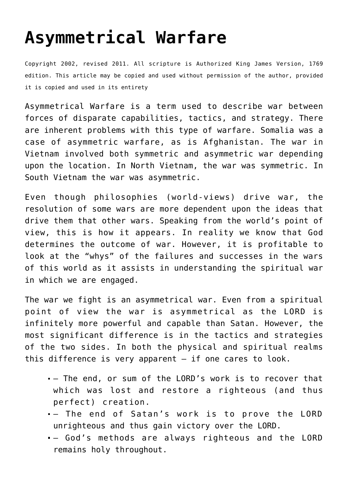## **[Asymmetrical Warfare](http://reproachofmen.org/spiritualwar/asymmetrical-warfare/)**

Copyright 2002, revised 2011. All scripture is Authorized King James Version, 1769 edition. This article may be copied and used without permission of the author, provided it is copied and used in its entirety

Asymmetrical Warfare is a term used to describe war between forces of disparate capabilities, tactics, and strategy. There are inherent problems with this type of warfare. Somalia was a case of asymmetric warfare, as is Afghanistan. The war in Vietnam involved both symmetric and asymmetric war depending upon the location. In North Vietnam, the war was symmetric. In South Vietnam the war was asymmetric.

Even though philosophies (world-views) drive war, the resolution of some wars are more dependent upon the ideas that drive them that other wars. Speaking from the world's point of view, this is how it appears. In reality we know that God determines the outcome of war. However, it is profitable to look at the "whys" of the failures and successes in the wars of this world as it assists in understanding the spiritual war in which we are engaged.

The war we fight is an asymmetrical war. Even from a spiritual point of view the war is asymmetrical as the LORD is infinitely more powerful and capable than Satan. However, the most significant difference is in the tactics and strategies of the two sides. In both the physical and spiritual realms this difference is very apparent — if one cares to look.

- The end, or sum of the LORD's work is to recover that which was lost and restore a righteous (and thus perfect) creation.
- The end of Satan's work is to prove the LORD unrighteous and thus gain victory over the LORD.
- God's methods are always righteous and the LORD remains holy throughout.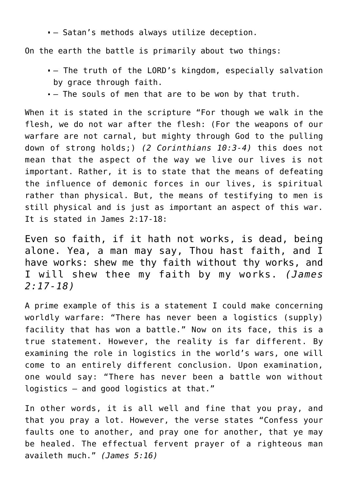— Satan's methods always utilize deception.

On the earth the battle is primarily about two things:

- The truth of the LORD's kingdom, especially salvation by grace through faith.
- The souls of men that are to be won by that truth.

When it is stated in the scripture "For though we walk in the flesh, we do not war after the flesh: (For the weapons of our warfare are not carnal, but mighty through God to the pulling down of strong holds;) *(2 Corinthians 10:3-4)* this does not mean that the aspect of the way we live our lives is not important. Rather, it is to state that the means of defeating the influence of demonic forces in our lives, is spiritual rather than physical. But, the means of testifying to men is still physical and is just as important an aspect of this war. It is stated in James 2:17-18:

Even so faith, if it hath not works, is dead, being alone. Yea, a man may say, Thou hast faith, and I have works: shew me thy faith without thy works, and I will shew thee my faith by my works. *(James 2:17-18)*

A prime example of this is a statement I could make concerning worldly warfare: "There has never been a logistics (supply) facility that has won a battle." Now on its face, this is a true statement. However, the reality is far different. By examining the role in logistics in the world's wars, one will come to an entirely different conclusion. Upon examination, one would say: "There has never been a battle won without logistics — and good logistics at that."

In other words, it is all well and fine that you pray, and that you pray a lot. However, the verse states "Confess your faults one to another, and pray one for another, that ye may be healed. The effectual fervent prayer of a righteous man availeth much." *(James 5:16)*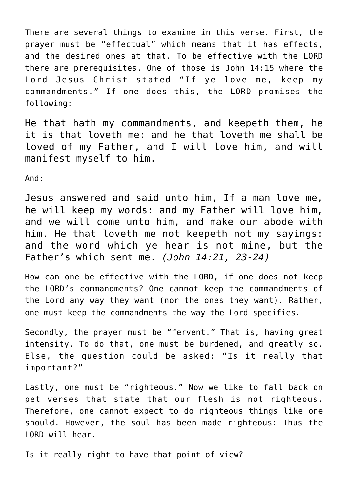There are several things to examine in this verse. First, the prayer must be "effectual" which means that it has effects, and the desired ones at that. To be effective with the LORD there are prerequisites. One of those is John 14:15 where the Lord Jesus Christ stated "If ye love me, keep my commandments." If one does this, the LORD promises the following:

He that hath my commandments, and keepeth them, he it is that loveth me: and he that loveth me shall be loved of my Father, and I will love him, and will manifest myself to him.

And:

Jesus answered and said unto him, If a man love me, he will keep my words: and my Father will love him, and we will come unto him, and make our abode with him. He that loveth me not keepeth not my sayings: and the word which ye hear is not mine, but the Father's which sent me. *(John 14:21, 23-24)*

How can one be effective with the LORD, if one does not keep the LORD's commandments? One cannot keep the commandments of the Lord any way they want (nor the ones they want). Rather, one must keep the commandments the way the Lord specifies.

Secondly, the prayer must be "fervent." That is, having great intensity. To do that, one must be burdened, and greatly so. Else, the question could be asked: "Is it really that important?"

Lastly, one must be "righteous." Now we like to fall back on pet verses that state that our flesh is not righteous. Therefore, one cannot expect to do righteous things like one should. However, the soul has been made righteous: Thus the LORD will hear.

Is it really right to have that point of view?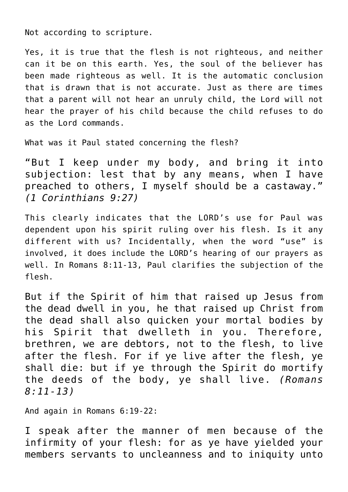Not according to scripture.

Yes, it is true that the flesh is not righteous, and neither can it be on this earth. Yes, the soul of the believer has been made righteous as well. It is the automatic conclusion that is drawn that is not accurate. Just as there are times that a parent will not hear an unruly child, the Lord will not hear the prayer of his child because the child refuses to do as the Lord commands.

What was it Paul stated concerning the flesh?

"But I keep under my body, and bring it into subjection: lest that by any means, when I have preached to others, I myself should be a castaway." *(1 Corinthians 9:27)*

This clearly indicates that the LORD's use for Paul was dependent upon his spirit ruling over his flesh. Is it any different with us? Incidentally, when the word "use" is involved, it does include the LORD's hearing of our prayers as well. In Romans 8:11-13, Paul clarifies the subjection of the flesh.

But if the Spirit of him that raised up Jesus from the dead dwell in you, he that raised up Christ from the dead shall also quicken your mortal bodies by his Spirit that dwelleth in you. Therefore, brethren, we are debtors, not to the flesh, to live after the flesh. For if ye live after the flesh, ye shall die: but if ye through the Spirit do mortify the deeds of the body, ye shall live. *(Romans 8:11-13)*

And again in Romans 6:19-22:

I speak after the manner of men because of the infirmity of your flesh: for as ye have yielded your members servants to uncleanness and to iniquity unto